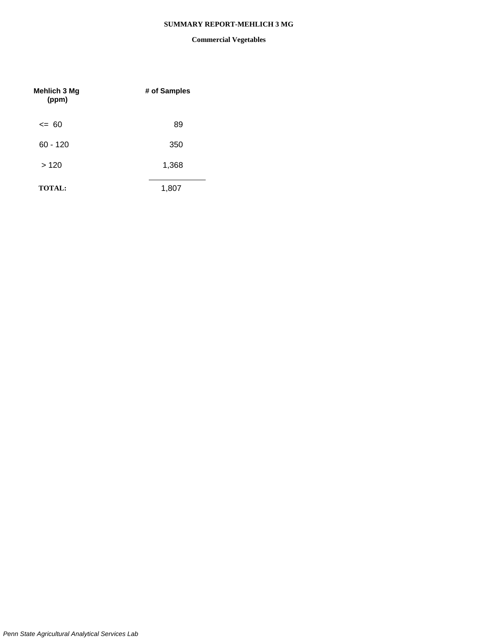## **SUMMARY REPORT-MEHLICH 3 MG**

| Mehlich 3 Mg<br>(ppm) | # of Samples |
|-----------------------|--------------|
| $\leq$ 60             | 89           |
| $60 - 120$            | 350          |
| >120                  | 1,368        |
| <b>TOTAL:</b>         | 1,807        |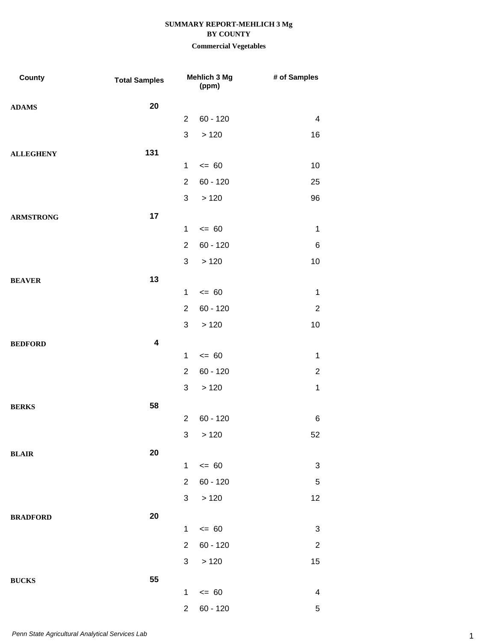| County           | <b>Total Samples</b> |                | Mehlich 3 Mg<br>(ppm) | # of Samples              |
|------------------|----------------------|----------------|-----------------------|---------------------------|
| <b>ADAMS</b>     | 20                   |                |                       |                           |
|                  |                      | $\overline{2}$ | $60 - 120$            | $\overline{4}$            |
|                  |                      | $\mathfrak{S}$ | >120                  | 16                        |
| <b>ALLEGHENY</b> | 131                  |                |                       |                           |
|                  |                      | $\mathbf{1}$   | $= 60$                | 10                        |
|                  |                      | $\overline{2}$ | $60 - 120$            | 25                        |
|                  |                      | $\mathfrak{S}$ | >120                  | 96                        |
| <b>ARMSTRONG</b> | 17                   |                |                       |                           |
|                  |                      | 1              | $= 60$                | $\mathbf 1$               |
|                  |                      | $\overline{2}$ | $60 - 120$            | 6                         |
|                  |                      | 3              | >120                  | 10                        |
| <b>BEAVER</b>    | 13                   |                |                       |                           |
|                  |                      | $\mathbf{1}$   | $= 60$                | $\mathbf 1$               |
|                  |                      | $\overline{2}$ | $60 - 120$            | $\overline{2}$            |
|                  |                      | $\sqrt{3}$     | >120                  | 10                        |
| <b>BEDFORD</b>   | 4                    |                |                       |                           |
|                  |                      | 1              | $= 60$                | $\mathbf 1$               |
|                  |                      | $\overline{2}$ | $60 - 120$            | $\overline{2}$            |
|                  |                      | $\mathfrak{S}$ | >120                  | $\mathbf{1}$              |
| <b>BERKS</b>     | 58                   |                |                       |                           |
|                  |                      | $\overline{2}$ | $60 - 120$            | 6                         |
|                  |                      |                | 3 > 120               | 52                        |
| <b>BLAIR</b>     | 20                   |                |                       |                           |
|                  |                      | $\mathbf{1}$   | $\leq 60$             | $\ensuremath{\mathsf{3}}$ |
|                  |                      | $\overline{2}$ | $60 - 120$            | $\,$ 5 $\,$               |
|                  |                      | $\mathbf{3}$   | >120                  | 12                        |
| <b>BRADFORD</b>  | 20                   |                |                       |                           |
|                  |                      | $\mathbf{1}$   | $= 60$                | 3                         |
|                  |                      | $\overline{2}$ | $60 - 120$            | $\overline{2}$            |
|                  |                      | 3              | $>120$                | 15                        |
| <b>BUCKS</b>     | 55                   |                |                       |                           |
|                  |                      | $\mathbf{1}$   | $= 60$                | 4                         |
|                  |                      | $\overline{2}$ | $60 - 120$            | 5                         |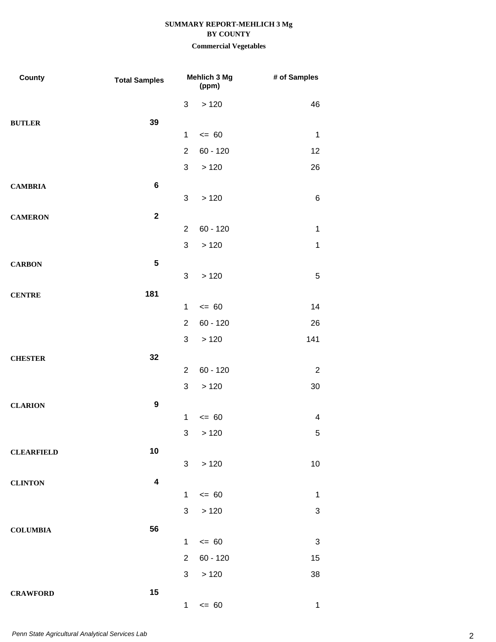| County            | <b>Total Samples</b> | Mehlich 3 Mg<br>(ppm) |            | # of Samples              |
|-------------------|----------------------|-----------------------|------------|---------------------------|
|                   |                      | 3                     | >120       | 46                        |
| <b>BUTLER</b>     | 39                   |                       |            |                           |
|                   |                      | $\mathbf 1$           | $= 60$     | $\mathbf 1$               |
|                   |                      | $\overline{2}$        | $60 - 120$ | 12                        |
|                   |                      | 3                     | >120       | 26                        |
| <b>CAMBRIA</b>    | $\bf 6$              |                       |            |                           |
|                   |                      | 3                     | >120       | $\,6$                     |
| <b>CAMERON</b>    | $\mathbf{2}$         |                       |            |                           |
|                   |                      | $\overline{2}$        | $60 - 120$ | $\mathbf 1$               |
|                   |                      | 3                     | >120       | 1                         |
| <b>CARBON</b>     | $5\phantom{.0}$      |                       |            |                           |
|                   |                      | 3                     | >120       | $\sqrt{5}$                |
| <b>CENTRE</b>     | 181                  |                       |            |                           |
|                   |                      | $\mathbf 1$           | $= 60$     | 14                        |
|                   |                      | $\overline{2}$        | $60 - 120$ | 26                        |
|                   |                      | 3                     | >120       | 141                       |
| <b>CHESTER</b>    | 32                   |                       |            |                           |
|                   |                      | $\overline{2}$        | $60 - 120$ | $\overline{2}$            |
|                   |                      | 3                     | >120       | 30                        |
| <b>CLARION</b>    | $\boldsymbol{9}$     | $\mathbf 1$           | $= 60$     |                           |
|                   |                      |                       |            | 4                         |
|                   |                      | 3                     | >120       | 5                         |
| <b>CLEARFIELD</b> | 10                   | 3 <sup>1</sup>        | >120       | 10                        |
|                   |                      |                       |            |                           |
| <b>CLINTON</b>    | 4                    | $\mathbf{1}$          | $= 60$     | $\mathbf 1$               |
|                   |                      | 3                     | >120       | $\ensuremath{\mathsf{3}}$ |
|                   |                      |                       |            |                           |
| <b>COLUMBIA</b>   | 56                   | $\mathbf{1}$          | $= 60$     | 3                         |
|                   |                      | $\overline{2}$        | $60 - 120$ | 15                        |
|                   |                      | 3                     | >120       | 38                        |
|                   | 15                   |                       |            |                           |
| <b>CRAWFORD</b>   |                      | 1                     | $= 60$     | $\mathbf 1$               |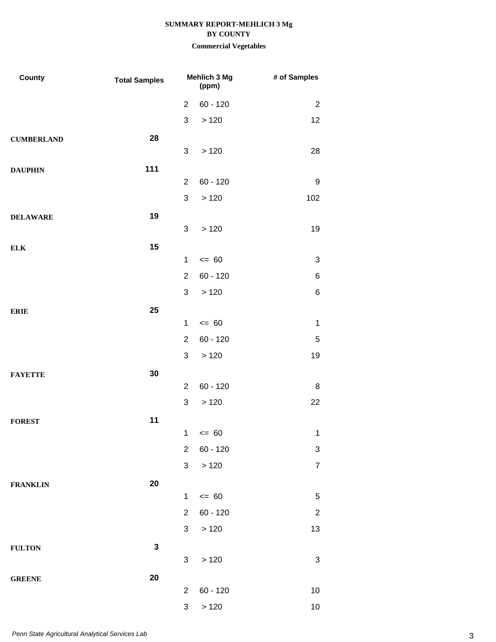| County            | <b>Total Samples</b> | Mehlich 3 Mg<br>(ppm)     |            | # of Samples   |
|-------------------|----------------------|---------------------------|------------|----------------|
|                   |                      | $\overline{2}$            | $60 - 120$ | $\overline{2}$ |
|                   |                      | $\sqrt{3}$                | >120       | 12             |
| <b>CUMBERLAND</b> | 28                   |                           |            |                |
|                   |                      | 3                         | >120       | 28             |
| <b>DAUPHIN</b>    | 111                  |                           |            |                |
|                   |                      | $\overline{2}$            | $60 - 120$ | 9              |
|                   |                      | $\sqrt{3}$                | >120       | 102            |
| <b>DELAWARE</b>   | 19                   |                           |            |                |
|                   |                      | 3                         | >120       | 19             |
| <b>ELK</b>        | 15                   | $\mathbf 1$               | $= 60$     | 3              |
|                   |                      | $\overline{2}$            | $60 - 120$ | 6              |
|                   |                      | 3                         | >120       | 6              |
|                   |                      |                           |            |                |
| <b>ERIE</b>       | 25                   | $\mathbf{1}$              | $= 60$     | $\mathbf 1$    |
|                   |                      | $\overline{2}$            | $60 - 120$ | $\mathbf 5$    |
|                   |                      | 3                         | >120       | 19             |
| <b>FAYETTE</b>    | 30                   |                           |            |                |
|                   |                      | $\overline{2}$            | $60 - 120$ | 8              |
|                   |                      | $\ensuremath{\mathsf{3}}$ | >120       | 22             |
| <b>FOREST</b>     | 11                   |                           |            |                |
|                   |                      | $1 \quad$                 | $= 60$     | $\mathbf 1$    |
|                   |                      | $\overline{2}$            | $60 - 120$ | 3              |
|                   |                      | $\mathfrak{S}$            | >120       | $\overline{7}$ |
| <b>FRANKLIN</b>   | 20                   |                           |            |                |
|                   |                      | $\mathbf 1$               | $\leq$ 60  | 5              |
|                   |                      | $\overline{2}$            | $60 - 120$ | $\overline{c}$ |
|                   |                      | 3 <sup>1</sup>            | >120       | 13             |
| <b>FULTON</b>     | $\mathbf 3$          |                           |            |                |
|                   |                      | 3                         | >120       | 3              |
| <b>GREENE</b>     | 20                   |                           |            |                |
|                   |                      | $\overline{2}$            | $60 - 120$ | $10$           |
|                   |                      | $\ensuremath{\mathsf{3}}$ | >120       | $10$           |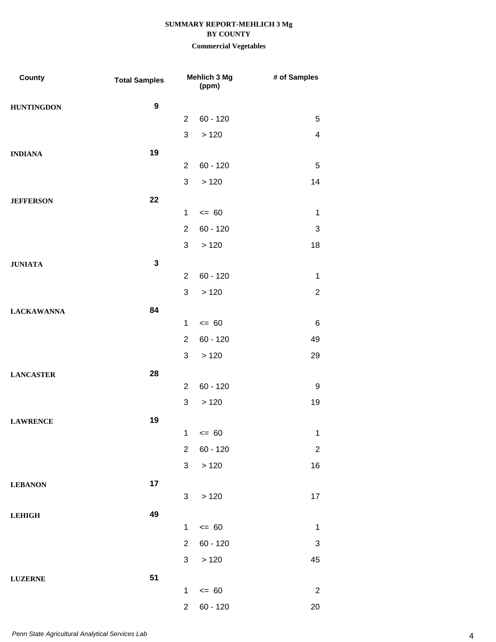| County            | <b>Total Samples</b> |                | Mehlich 3 Mg<br>(ppm) | # of Samples              |
|-------------------|----------------------|----------------|-----------------------|---------------------------|
| <b>HUNTINGDON</b> | $\boldsymbol{9}$     |                |                       |                           |
|                   |                      | $\overline{2}$ | $60 - 120$            | $\overline{5}$            |
|                   |                      | 3              | >120                  | $\overline{4}$            |
| <b>INDIANA</b>    | 19                   |                |                       |                           |
|                   |                      | $\overline{2}$ | $60 - 120$            | 5                         |
|                   |                      | 3              | >120                  | 14                        |
| <b>JEFFERSON</b>  | 22                   |                |                       |                           |
|                   |                      | $\mathbf{1}$   | $= 60$                | $\mathbf 1$               |
|                   |                      | $\overline{2}$ | $60 - 120$            | 3                         |
|                   |                      | 3              | >120                  | 18                        |
| <b>JUNIATA</b>    | $\mathbf{3}$         |                |                       |                           |
|                   |                      | $\overline{2}$ | $60 - 120$            | 1                         |
|                   |                      | 3              | >120                  | $\overline{2}$            |
| <b>LACKAWANNA</b> | 84                   |                |                       |                           |
|                   |                      | 1              | $= 60$                | 6                         |
|                   |                      | $\overline{2}$ | $60 - 120$            | 49                        |
|                   |                      | 3              | >120                  | 29                        |
| <b>LANCASTER</b>  | 28                   | $\overline{2}$ | $60 - 120$            | 9                         |
|                   |                      | 3              | >120                  | 19                        |
|                   |                      |                |                       |                           |
| <b>LAWRENCE</b>   | 19                   | $\mathbf{1}$   | $\leq 60$             | 1                         |
|                   |                      | $\overline{2}$ | $60 - 120$            | $\overline{2}$            |
|                   |                      | $\mathfrak{S}$ | >120                  | 16                        |
|                   | 17                   |                |                       |                           |
| <b>LEBANON</b>    |                      | 3              | >120                  | 17                        |
| <b>LEHIGH</b>     | 49                   |                |                       |                           |
|                   |                      | $\mathbf{1}$   | $\leq 60$             | $\mathbf 1$               |
|                   |                      | $\overline{2}$ | $60 - 120$            | $\ensuremath{\mathsf{3}}$ |
|                   |                      | 3              | >120                  | 45                        |
| <b>LUZERNE</b>    | 51                   |                |                       |                           |
|                   |                      | $\mathbf{1}$   | $\leq$ 60             | $\overline{2}$            |
|                   |                      | $\overline{2}$ | $60 - 120$            | 20                        |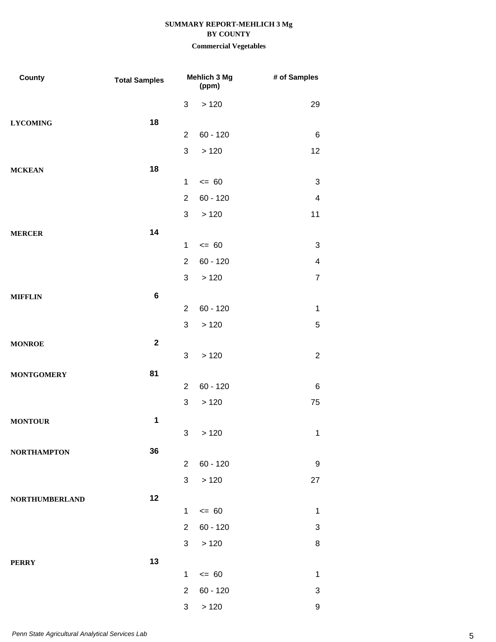| County                | <b>Total Samples</b> |                | Mehlich 3 Mg<br>(ppm) | # of Samples             |
|-----------------------|----------------------|----------------|-----------------------|--------------------------|
|                       |                      | 3              | $>120$                | 29                       |
| <b>LYCOMING</b>       | 18                   |                |                       |                          |
|                       |                      | $\overline{2}$ | $60 - 120$            | 6                        |
|                       |                      | 3              | >120                  | 12                       |
| <b>MCKEAN</b>         | 18                   |                |                       |                          |
|                       |                      | $\mathbf{1}$   | $= 60$                | 3                        |
|                       |                      | $\overline{2}$ | $60 - 120$            | $\overline{\mathcal{A}}$ |
|                       |                      | 3              | >120                  | 11                       |
| <b>MERCER</b>         | 14                   |                |                       |                          |
|                       |                      | $\mathbf 1$    | $= 60$                | 3                        |
|                       |                      | $\overline{2}$ | $60 - 120$            | $\overline{\mathcal{A}}$ |
|                       |                      | 3              | >120                  | $\overline{7}$           |
| <b>MIFFLIN</b>        | $\bf 6$              |                |                       |                          |
|                       |                      | $\overline{2}$ | $60 - 120$            | $\mathbf{1}$             |
|                       |                      | $\mathfrak{S}$ | >120                  | 5                        |
| <b>MONROE</b>         | $\mathbf{2}$         |                |                       |                          |
|                       |                      | 3              | >120                  | $\overline{c}$           |
| <b>MONTGOMERY</b>     | 81                   |                |                       |                          |
|                       |                      | $\overline{2}$ | $60 - 120$            | 6                        |
|                       |                      | $\mathfrak{S}$ | >120                  | 75                       |
| <b>MONTOUR</b>        | 1                    |                |                       |                          |
|                       |                      | 3              | >120                  | $\mathbf 1$              |
| <b>NORTHAMPTON</b>    | 36                   | $\overline{2}$ | $60 - 120$            | 9                        |
|                       |                      | 3 <sup>1</sup> | >120                  | 27                       |
|                       |                      |                |                       |                          |
| <b>NORTHUMBERLAND</b> | 12                   | $\mathbf 1$    | $\leq 60$             | $\mathbf 1$              |
|                       |                      | $2^{\circ}$    | $60 - 120$            | 3                        |
|                       |                      | 3              | >120                  | 8                        |
|                       |                      |                |                       |                          |
| <b>PERRY</b>          | 13                   | $\mathbf 1$    | $\leq$ 60             | $\mathbf 1$              |
|                       |                      | $\overline{2}$ | $60 - 120$            | 3                        |
|                       |                      | $\mathbf{3}$   | >120                  | 9                        |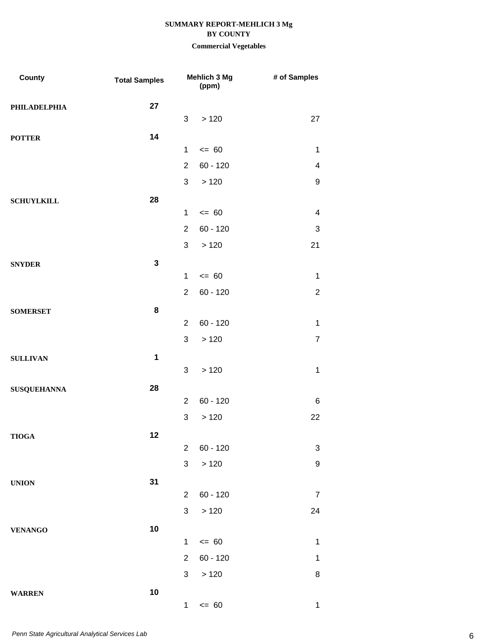| County             | <b>Total Samples</b> |                           | Mehlich 3 Mg<br>(ppm) | # of Samples     |
|--------------------|----------------------|---------------------------|-----------------------|------------------|
| PHILADELPHIA       | 27                   |                           |                       |                  |
|                    |                      | 3                         | >120                  | 27               |
| <b>POTTER</b>      | 14                   |                           |                       |                  |
|                    |                      | $\mathbf 1$               | $= 60$                | $\mathbf 1$      |
|                    |                      | $\overline{2}$            | $60 - 120$            | 4                |
|                    |                      | 3                         | >120                  | $\boldsymbol{9}$ |
| <b>SCHUYLKILL</b>  | 28                   |                           |                       |                  |
|                    |                      | $\mathbf 1$               | $= 60$                | 4                |
|                    |                      | $\overline{2}$            | $60 - 120$            | 3                |
|                    |                      | 3                         | >120                  | 21               |
| <b>SNYDER</b>      | $\mathbf{3}$         |                           |                       |                  |
|                    |                      | $\mathbf{1}$              | $= 60$                | $\mathbf 1$      |
|                    |                      | $\overline{2}$            | $60 - 120$            | $\overline{2}$   |
| <b>SOMERSET</b>    | 8                    |                           |                       |                  |
|                    |                      | $\overline{2}$            | $60 - 120$            | $\mathbf 1$      |
|                    |                      | 3                         | >120                  | $\overline{7}$   |
| <b>SULLIVAN</b>    | $\mathbf 1$          | 3                         | >120                  | $\mathbf{1}$     |
|                    |                      |                           |                       |                  |
| <b>SUSQUEHANNA</b> | 28                   | $\overline{2}$            | $60 - 120$            | 6                |
|                    |                      | $\sqrt{3}$                | >120                  | 22               |
| <b>TIOGA</b>       | 12                   |                           |                       |                  |
|                    |                      | $\overline{2}$            | $60 - 120$            | 3                |
|                    |                      | $\ensuremath{\mathsf{3}}$ | > 120                 | $\boldsymbol{9}$ |
| <b>UNION</b>       | 31                   |                           |                       |                  |
|                    |                      | $\overline{2}$            | $60 - 120$            | $\overline{7}$   |
|                    |                      | $\mathfrak{S}$            | >120                  | 24               |
| <b>VENANGO</b>     | 10                   |                           |                       |                  |
|                    |                      | $\mathbf{1}$              | $\leq$ 60             | $\mathbf 1$      |
|                    |                      | $\overline{2}$            | $60 - 120$            | $\mathbf 1$      |
|                    |                      | 3                         | >120                  | 8                |
| <b>WARREN</b>      | $10$                 |                           |                       |                  |
|                    |                      | 1                         | $\leq$ 60             | $\mathbf{1}$     |